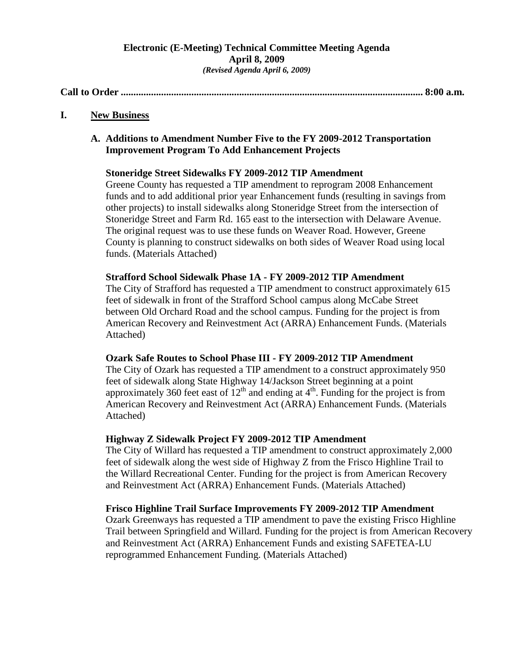## **Electronic (E-Meeting) Technical Committee Meeting Agenda April 8, 2009** *(Revised Agenda April 6, 2009)*

**Call to Order ........................................................................................................................ 8:00 a.m.**

**I. New Business**

## **A. Additions to Amendment Number Five to the FY 2009-2012 Transportation Improvement Program To Add Enhancement Projects**

## **Stoneridge Street Sidewalks FY 2009-2012 TIP Amendment**

Greene County has requested a TIP amendment to reprogram 2008 Enhancement funds and to add additional prior year Enhancement funds (resulting in savings from other projects) to install sidewalks along Stoneridge Street from the intersection of Stoneridge Street and Farm Rd. 165 east to the intersection with Delaware Avenue. The original request was to use these funds on Weaver Road. However, Greene County is planning to construct sidewalks on both sides of Weaver Road using local funds. (Materials Attached)

#### **Strafford School Sidewalk Phase 1A - FY 2009-2012 TIP Amendment**

The City of Strafford has requested a TIP amendment to construct approximately 615 feet of sidewalk in front of the Strafford School campus along McCabe Street between Old Orchard Road and the school campus. Funding for the project is from American Recovery and Reinvestment Act (ARRA) Enhancement Funds. (Materials Attached)

#### **Ozark Safe Routes to School Phase III - FY 2009-2012 TIP Amendment**

The City of Ozark has requested a TIP amendment to a construct approximately 950 feet of sidewalk along State Highway 14/Jackson Street beginning at a point approximately 360 feet east of  $12<sup>th</sup>$  and ending at  $4<sup>th</sup>$ . Funding for the project is from American Recovery and Reinvestment Act (ARRA) Enhancement Funds. (Materials Attached)

#### **Highway Z Sidewalk Project FY 2009-2012 TIP Amendment**

The City of Willard has requested a TIP amendment to construct approximately 2,000 feet of sidewalk along the west side of Highway Z from the Frisco Highline Trail to the Willard Recreational Center. Funding for the project is from American Recovery and Reinvestment Act (ARRA) Enhancement Funds. (Materials Attached)

## **Frisco Highline Trail Surface Improvements FY 2009-2012 TIP Amendment**

Ozark Greenways has requested a TIP amendment to pave the existing Frisco Highline Trail between Springfield and Willard. Funding for the project is from American Recovery and Reinvestment Act (ARRA) Enhancement Funds and existing SAFETEA-LU reprogrammed Enhancement Funding. (Materials Attached)